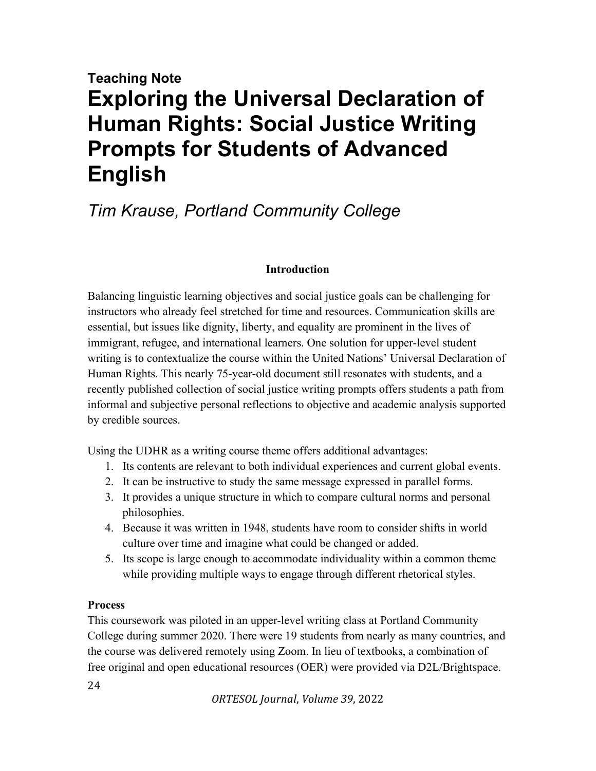# Teaching Note Exploring the Universal Declaration of Human Rights: Social Justice Writing Prompts for Students of Advanced English

## Tim Krause, Portland Community College

#### Introduction

Balancing linguistic learning objectives and social justice goals can be challenging for instructors who already feel stretched for time and resources. Communication skills are essential, but issues like dignity, liberty, and equality are prominent in the lives of immigrant, refugee, and international learners. One solution for upper-level student writing is to contextualize the course within the United Nations' Universal Declaration of Human Rights. This nearly 75-year-old document still resonates with students, and a recently published collection of social justice writing prompts offers students a path from informal and subjective personal reflections to objective and academic analysis supported by credible sources.

Using the UDHR as a writing course theme offers additional advantages:

- 1. Its contents are relevant to both individual experiences and current global events.
- 2. It can be instructive to study the same message expressed in parallel forms.
- 3. It provides a unique structure in which to compare cultural norms and personal philosophies.
- 4. Because it was written in 1948, students have room to consider shifts in world culture over time and imagine what could be changed or added.
- 5. Its scope is large enough to accommodate individuality within a common theme while providing multiple ways to engage through different rhetorical styles.

### **Process**

This coursework was piloted in an upper-level writing class at Portland Community College during summer 2020. There were 19 students from nearly as many countries, and the course was delivered remotely using Zoom. In lieu of textbooks, a combination of free original and open educational resources (OER) were provided via D2L/Brightspace.

24

ORTESOL Journal, Volume 39, 2022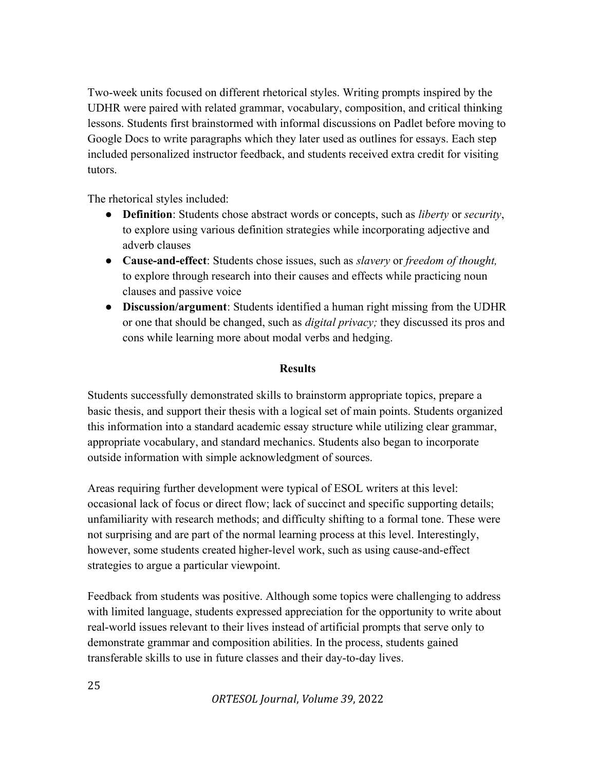Two-week units focused on different rhetorical styles. Writing prompts inspired by the UDHR were paired with related grammar, vocabulary, composition, and critical thinking lessons. Students first brainstormed with informal discussions on Padlet before moving to Google Docs to write paragraphs which they later used as outlines for essays. Each step included personalized instructor feedback, and students received extra credit for visiting tutors.

The rhetorical styles included:

- Definition: Students chose abstract words or concepts, such as *liberty* or *security*, to explore using various definition strategies while incorporating adjective and adverb clauses
- Cause-and-effect: Students chose issues, such as *slavery* or *freedom of thought*, to explore through research into their causes and effects while practicing noun clauses and passive voice
- Discussion/argument: Students identified a human right missing from the UDHR or one that should be changed, such as *digital privacy*; they discussed its pros and cons while learning more about modal verbs and hedging.

#### **Results**

Students successfully demonstrated skills to brainstorm appropriate topics, prepare a basic thesis, and support their thesis with a logical set of main points. Students organized this information into a standard academic essay structure while utilizing clear grammar, appropriate vocabulary, and standard mechanics. Students also began to incorporate outside information with simple acknowledgment of sources.

Areas requiring further development were typical of ESOL writers at this level: occasional lack of focus or direct flow; lack of succinct and specific supporting details; unfamiliarity with research methods; and difficulty shifting to a formal tone. These were not surprising and are part of the normal learning process at this level. Interestingly, however, some students created higher-level work, such as using cause-and-effect strategies to argue a particular viewpoint.

Feedback from students was positive. Although some topics were challenging to address with limited language, students expressed appreciation for the opportunity to write about real-world issues relevant to their lives instead of artificial prompts that serve only to demonstrate grammar and composition abilities. In the process, students gained transferable skills to use in future classes and their day-to-day lives.